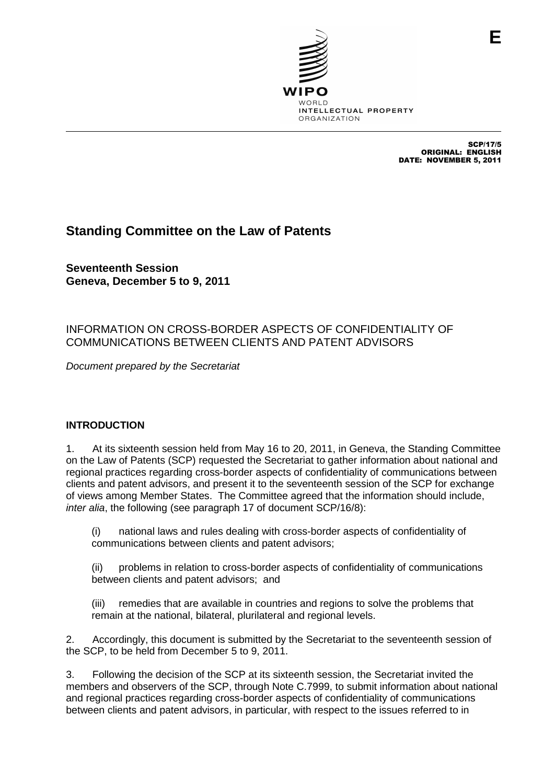

SCP/17/5 ORIGINAL: ENGLISH DATE: NOVEMBER 5, 2011

# **Standing Committee on the Law of Patents**

**Seventeenth Session Geneva, December 5 to 9, 2011**

## INFORMATION ON CROSS-BORDER ASPECTS OF CONFIDENTIALITY OF COMMUNICATIONS BETWEEN CLIENTS AND PATENT ADVISORS

Document prepared by the Secretariat

## **INTRODUCTION**

1. At its sixteenth session held from May 16 to 20, 2011, in Geneva, the Standing Committee on the Law of Patents (SCP) requested the Secretariat to gather information about national and regional practices regarding cross-border aspects of confidentiality of communications between clients and patent advisors, and present it to the seventeenth session of the SCP for exchange of views among Member States. The Committee agreed that the information should include, inter alia, the following (see paragraph 17 of document SCP/16/8):

(i) national laws and rules dealing with cross-border aspects of confidentiality of communications between clients and patent advisors;

(ii) problems in relation to cross-border aspects of confidentiality of communications between clients and patent advisors; and

(iii) remedies that are available in countries and regions to solve the problems that remain at the national, bilateral, plurilateral and regional levels.

2. Accordingly, this document is submitted by the Secretariat to the seventeenth session of the SCP, to be held from December 5 to 9, 2011.

3. Following the decision of the SCP at its sixteenth session, the Secretariat invited the members and observers of the SCP, through Note C.7999, to submit information about national and regional practices regarding cross-border aspects of confidentiality of communications between clients and patent advisors, in particular, with respect to the issues referred to in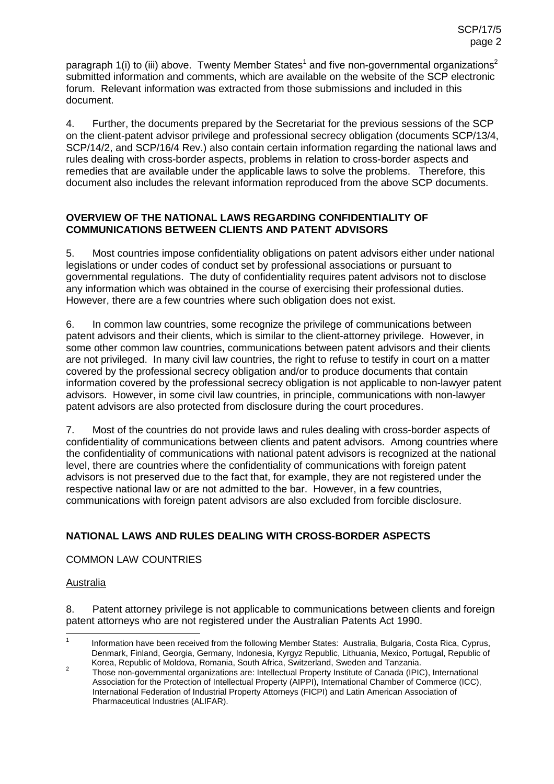paragraph 1(i) to (iii) above. Twenty Member States<sup>1</sup> and five non-governmental organizations<sup>2</sup> submitted information and comments, which are available on the website of the SCP electronic forum. Relevant information was extracted from those submissions and included in this document.

4. Further, the documents prepared by the Secretariat for the previous sessions of the SCP on the client-patent advisor privilege and professional secrecy obligation (documents SCP/13/4, SCP/14/2, and SCP/16/4 Rev.) also contain certain information regarding the national laws and rules dealing with cross-border aspects, problems in relation to cross-border aspects and remedies that are available under the applicable laws to solve the problems. Therefore, this document also includes the relevant information reproduced from the above SCP documents.

## **OVERVIEW OF THE NATIONAL LAWS REGARDING CONFIDENTIALITY OF COMMUNICATIONS BETWEEN CLIENTS AND PATENT ADVISORS**

5. Most countries impose confidentiality obligations on patent advisors either under national legislations or under codes of conduct set by professional associations or pursuant to governmental regulations. The duty of confidentiality requires patent advisors not to disclose any information which was obtained in the course of exercising their professional duties. However, there are a few countries where such obligation does not exist.

6. In common law countries, some recognize the privilege of communications between patent advisors and their clients, which is similar to the client-attorney privilege. However, in some other common law countries, communications between patent advisors and their clients are not privileged. In many civil law countries, the right to refuse to testify in court on a matter covered by the professional secrecy obligation and/or to produce documents that contain information covered by the professional secrecy obligation is not applicable to non-lawyer patent advisors. However, in some civil law countries, in principle, communications with non-lawyer patent advisors are also protected from disclosure during the court procedures.

7. Most of the countries do not provide laws and rules dealing with cross-border aspects of confidentiality of communications between clients and patent advisors. Among countries where the confidentiality of communications with national patent advisors is recognized at the national level, there are countries where the confidentiality of communications with foreign patent advisors is not preserved due to the fact that, for example, they are not registered under the respective national law or are not admitted to the bar. However, in a few countries, communications with foreign patent advisors are also excluded from forcible disclosure.

# **NATIONAL LAWS AND RULES DEALING WITH CROSS-BORDER ASPECTS**

COMMON LAW COUNTRIES

## **Australia**

8. Patent attorney privilege is not applicable to communications between clients and foreign patent attorneys who are not registered under the Australian Patents Act 1990.

<sup>&</sup>lt;sup>1</sup> Information have been received from the following Member States: Australia, Bulgaria, Costa Rica, Cyprus, Denmark, Finland, Georgia, Germany, Indonesia, Kyrgyz Republic, Lithuania, Mexico, Portugal, Republic of Korea, Republic of Moldova, Romania, South Africa, Switzerland, Sweden and Tanzania.

Korea, Republic of Moldova, Romania, South Africa, Switzerland, Sweden and Tanzania. <sup>2</sup> Those non-governmental organizations are: Intellectual Property Institute of Canada (IPIC), International Association for the Protection of Intellectual Property (AIPPI), International Chamber of Commerce (ICC), International Federation of Industrial Property Attorneys (FICPI) and Latin American Association of Pharmaceutical Industries (ALIFAR).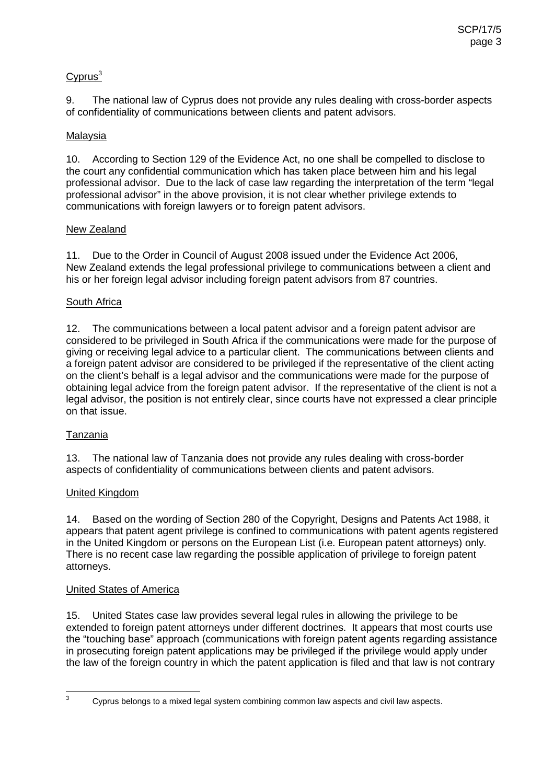## $Cvprus<sup>3</sup>$

9. The national law of Cyprus does not provide any rules dealing with cross-border aspects of confidentiality of communications between clients and patent advisors.

## Malaysia

10. According to Section 129 of the Evidence Act, no one shall be compelled to disclose to the court any confidential communication which has taken place between him and his legal professional advisor. Due to the lack of case law regarding the interpretation of the term "legal professional advisor" in the above provision, it is not clear whether privilege extends to communications with foreign lawyers or to foreign patent advisors.

## New Zealand

11. Due to the Order in Council of August 2008 issued under the Evidence Act 2006, New Zealand extends the legal professional privilege to communications between a client and his or her foreign legal advisor including foreign patent advisors from 87 countries.

## South Africa

12. The communications between a local patent advisor and a foreign patent advisor are considered to be privileged in South Africa if the communications were made for the purpose of giving or receiving legal advice to a particular client. The communications between clients and a foreign patent advisor are considered to be privileged if the representative of the client acting on the client's behalf is a legal advisor and the communications were made for the purpose of obtaining legal advice from the foreign patent advisor. If the representative of the client is not a legal advisor, the position is not entirely clear, since courts have not expressed a clear principle on that issue.

## Tanzania

13. The national law of Tanzania does not provide any rules dealing with cross-border aspects of confidentiality of communications between clients and patent advisors.

## United Kingdom

14. Based on the wording of Section 280 of the Copyright, Designs and Patents Act 1988, it appears that patent agent privilege is confined to communications with patent agents registered in the United Kingdom or persons on the European List (i.e. European patent attorneys) only. There is no recent case law regarding the possible application of privilege to foreign patent attorneys.

## United States of America

15. United States case law provides several legal rules in allowing the privilege to be extended to foreign patent attorneys under different doctrines. It appears that most courts use the "touching base" approach (communications with foreign patent agents regarding assistance in prosecuting foreign patent applications may be privileged if the privilege would apply under the law of the foreign country in which the patent application is filed and that law is not contrary

 $3$  Cyprus belongs to a mixed legal system combining common law aspects and civil law aspects.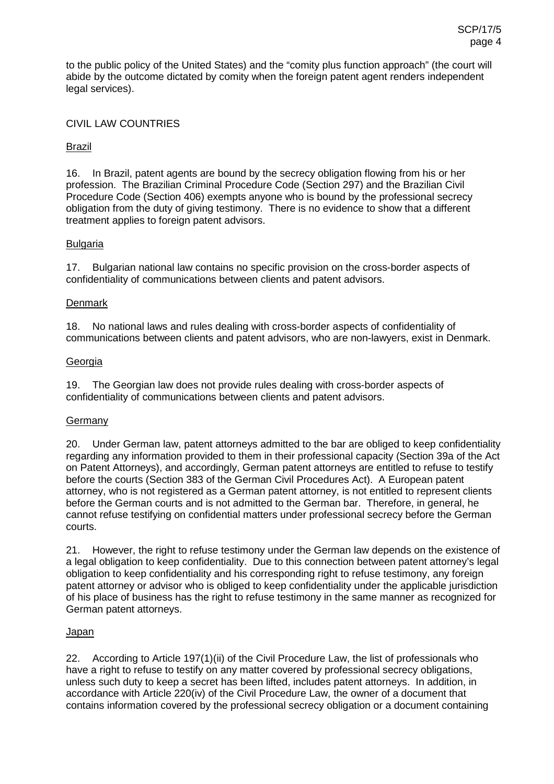to the public policy of the United States) and the "comity plus function approach" (the court will abide by the outcome dictated by comity when the foreign patent agent renders independent legal services).

## CIVIL LAW COUNTRIES

## Brazil

16. In Brazil, patent agents are bound by the secrecy obligation flowing from his or her profession. The Brazilian Criminal Procedure Code (Section 297) and the Brazilian Civil Procedure Code (Section 406) exempts anyone who is bound by the professional secrecy obligation from the duty of giving testimony. There is no evidence to show that a different treatment applies to foreign patent advisors.

## Bulgaria

17. Bulgarian national law contains no specific provision on the cross-border aspects of confidentiality of communications between clients and patent advisors.

#### **Denmark**

18. No national laws and rules dealing with cross-border aspects of confidentiality of communications between clients and patent advisors, who are non-lawyers, exist in Denmark.

#### Georgia

19. The Georgian law does not provide rules dealing with cross-border aspects of confidentiality of communications between clients and patent advisors.

## **Germany**

20. Under German law, patent attorneys admitted to the bar are obliged to keep confidentiality regarding any information provided to them in their professional capacity (Section 39a of the Act on Patent Attorneys), and accordingly, German patent attorneys are entitled to refuse to testify before the courts (Section 383 of the German Civil Procedures Act). A European patent attorney, who is not registered as a German patent attorney, is not entitled to represent clients before the German courts and is not admitted to the German bar. Therefore, in general, he cannot refuse testifying on confidential matters under professional secrecy before the German courts.

21. However, the right to refuse testimony under the German law depends on the existence of a legal obligation to keep confidentiality. Due to this connection between patent attorney's legal obligation to keep confidentiality and his corresponding right to refuse testimony, any foreign patent attorney or advisor who is obliged to keep confidentiality under the applicable jurisdiction of his place of business has the right to refuse testimony in the same manner as recognized for German patent attorneys.

## Japan

22. According to Article 197(1)(ii) of the Civil Procedure Law, the list of professionals who have a right to refuse to testify on any matter covered by professional secrecy obligations, unless such duty to keep a secret has been lifted, includes patent attorneys. In addition, in accordance with Article 220(iv) of the Civil Procedure Law, the owner of a document that contains information covered by the professional secrecy obligation or a document containing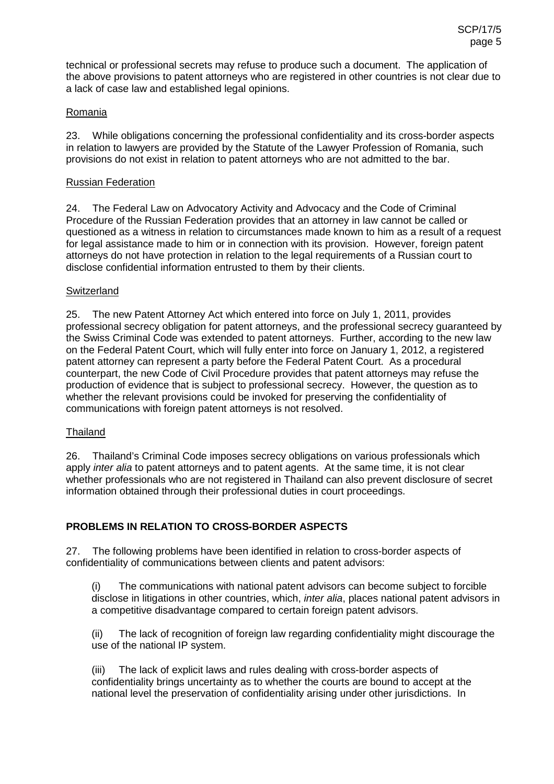technical or professional secrets may refuse to produce such a document. The application of the above provisions to patent attorneys who are registered in other countries is not clear due to a lack of case law and established legal opinions.

## Romania

23. While obligations concerning the professional confidentiality and its cross-border aspects in relation to lawyers are provided by the Statute of the Lawyer Profession of Romania, such provisions do not exist in relation to patent attorneys who are not admitted to the bar.

## Russian Federation

24. The Federal Law on Advocatory Activity and Advocacy and the Code of Criminal Procedure of the Russian Federation provides that an attorney in law cannot be called or questioned as a witness in relation to circumstances made known to him as a result of a request for legal assistance made to him or in connection with its provision. However, foreign patent attorneys do not have protection in relation to the legal requirements of a Russian court to disclose confidential information entrusted to them by their clients.

## **Switzerland**

25. The new Patent Attorney Act which entered into force on July 1, 2011, provides professional secrecy obligation for patent attorneys, and the professional secrecy guaranteed by the Swiss Criminal Code was extended to patent attorneys. Further, according to the new law on the Federal Patent Court, which will fully enter into force on January 1, 2012, a registered patent attorney can represent a party before the Federal Patent Court. As a procedural counterpart, the new Code of Civil Procedure provides that patent attorneys may refuse the production of evidence that is subject to professional secrecy. However, the question as to whether the relevant provisions could be invoked for preserving the confidentiality of communications with foreign patent attorneys is not resolved.

## **Thailand**

26. Thailand's Criminal Code imposes secrecy obligations on various professionals which apply *inter alia* to patent attorneys and to patent agents. At the same time, it is not clear whether professionals who are not registered in Thailand can also prevent disclosure of secret information obtained through their professional duties in court proceedings.

## **PROBLEMS IN RELATION TO CROSS-BORDER ASPECTS**

27. The following problems have been identified in relation to cross-border aspects of confidentiality of communications between clients and patent advisors:

(i) The communications with national patent advisors can become subject to forcible disclose in litigations in other countries, which, *inter alia*, places national patent advisors in a competitive disadvantage compared to certain foreign patent advisors.

(ii) The lack of recognition of foreign law regarding confidentiality might discourage the use of the national IP system.

(iii) The lack of explicit laws and rules dealing with cross-border aspects of confidentiality brings uncertainty as to whether the courts are bound to accept at the national level the preservation of confidentiality arising under other jurisdictions. In